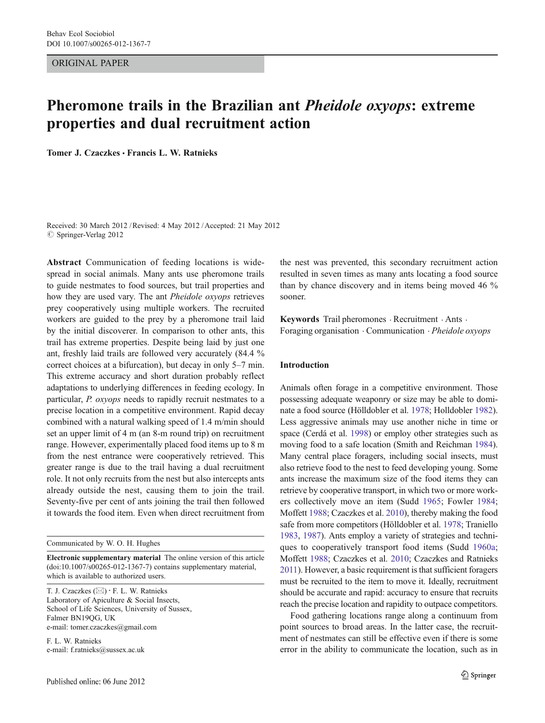ORIGINAL PAPER

# Pheromone trails in the Brazilian ant Pheidole oxyops: extreme properties and dual recruitment action

Tomer J. Czaczkes · Francis L. W. Ratnieks

Received: 30 March 2012 /Revised: 4 May 2012 /Accepted: 21 May 2012  $\circ$  Springer-Verlag 2012

Abstract Communication of feeding locations is widespread in social animals. Many ants use pheromone trails to guide nestmates to food sources, but trail properties and how they are used vary. The ant Pheidole oxyops retrieves prey cooperatively using multiple workers. The recruited workers are guided to the prey by a pheromone trail laid by the initial discoverer. In comparison to other ants, this trail has extreme properties. Despite being laid by just one ant, freshly laid trails are followed very accurately (84.4 % correct choices at a bifurcation), but decay in only 5–7 min. This extreme accuracy and short duration probably reflect adaptations to underlying differences in feeding ecology. In particular, P. oxyops needs to rapidly recruit nestmates to a precise location in a competitive environment. Rapid decay combined with a natural walking speed of 1.4 m/min should set an upper limit of 4 m (an 8-m round trip) on recruitment range. However, experimentally placed food items up to 8 m from the nest entrance were cooperatively retrieved. This greater range is due to the trail having a dual recruitment role. It not only recruits from the nest but also intercepts ants already outside the nest, causing them to join the trail. Seventy-five per cent of ants joining the trail then followed it towards the food item. Even when direct recruitment from

Communicated by W. O. H. Hughes

Electronic supplementary material The online version of this article (doi:[10.1007/s00265-012-1367-7](http://dx.doi.org/10.1007/s00265-012-1367-7)) contains supplementary material, which is available to authorized users.

T. J. Czaczkes  $(\boxtimes) \cdot$  F. L. W. Ratnieks Laboratory of Apiculture & Social Insects, School of Life Sciences, University of Sussex, Falmer BN19QG, UK e-mail: tomer.czaczkes@gmail.com

F. L. W. Ratnieks e-mail: f.ratnieks@sussex.ac.uk

the nest was prevented, this secondary recruitment action resulted in seven times as many ants locating a food source than by chance discovery and in items being moved 46 % sooner.

Keywords Trail pheromones · Recruitment · Ants · Foraging organisation . Communication . Pheidole oxyops

### Introduction

Animals often forage in a competitive environment. Those possessing adequate weaponry or size may be able to dominate a food source (Hölldobler et al. [1978](#page-7-0); Holldobler [1982\)](#page-7-0). Less aggressive animals may use another niche in time or space (Cerdá et al. [1998\)](#page-7-0) or employ other strategies such as moving food to a safe location (Smith and Reichman [1984\)](#page-7-0). Many central place foragers, including social insects, must also retrieve food to the nest to feed developing young. Some ants increase the maximum size of the food items they can retrieve by cooperative transport, in which two or more workers collectively move an item (Sudd [1965](#page-7-0); Fowler [1984;](#page-7-0) Moffett [1988](#page-7-0); Czaczkes et al. [2010\)](#page-7-0), thereby making the food safe from more competitors (Hölldobler et al. [1978](#page-7-0); Traniello [1983,](#page-7-0) [1987\)](#page-7-0). Ants employ a variety of strategies and techniques to cooperatively transport food items (Sudd [1960a;](#page-7-0) Moffett [1988](#page-7-0); Czaczkes et al. [2010;](#page-7-0) Czaczkes and Ratnieks [2011](#page-7-0)). However, a basic requirement is that sufficient foragers must be recruited to the item to move it. Ideally, recruitment should be accurate and rapid: accuracy to ensure that recruits reach the precise location and rapidity to outpace competitors.

Food gathering locations range along a continuum from point sources to broad areas. In the latter case, the recruitment of nestmates can still be effective even if there is some error in the ability to communicate the location, such as in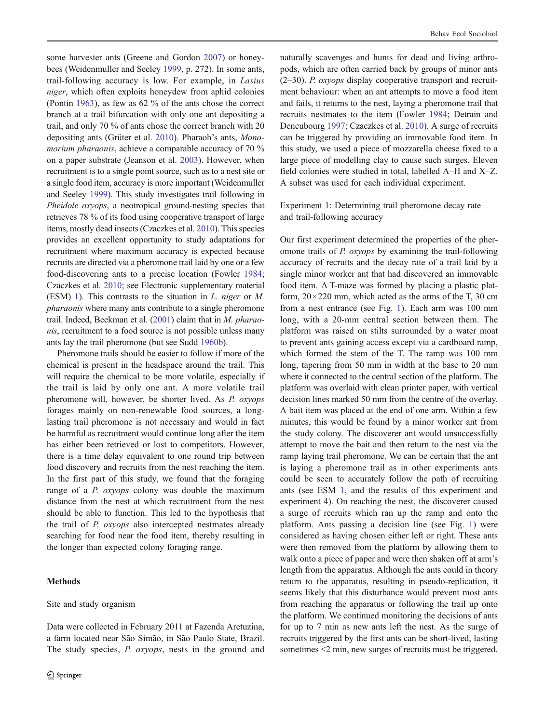<span id="page-1-0"></span>some harvester ants (Greene and Gordon [2007\)](#page-7-0) or honeybees (Weidenmuller and Seeley [1999](#page-7-0), p. 272). In some ants, trail-following accuracy is low. For example, in Lasius niger, which often exploits honeydew from aphid colonies (Pontin [1963](#page-7-0)), as few as 62 % of the ants chose the correct branch at a trail bifurcation with only one ant depositing a trail, and only 70 % of ants chose the correct branch with 20 depositing ants (Grüter et al. [2010\)](#page-7-0). Pharaoh's ants, Monomorium pharaonis, achieve a comparable accuracy of 70 % on a paper substrate (Jeanson et al. [2003\)](#page-7-0). However, when recruitment is to a single point source, such as to a nest site or a single food item, accuracy is more important (Weidenmuller and Seeley [1999\)](#page-7-0). This study investigates trail following in Pheidole oxyops, a neotropical ground-nesting species that retrieves 78 % of its food using cooperative transport of large items, mostly dead insects (Czaczkes et al. [2010](#page-7-0)). This species provides an excellent opportunity to study adaptations for recruitment where maximum accuracy is expected because recruits are directed via a pheromone trail laid by one or a few food-discovering ants to a precise location (Fowler [1984](#page-7-0); Czaczkes et al. [2010](#page-7-0); see Electronic supplementary material (ESM) 1). This contrasts to the situation in L. niger or M. pharaonis where many ants contribute to a single pheromone trail. Indeed, Beekman et al. [\(2001\)](#page-7-0) claim that in M. pharaonis, recruitment to a food source is not possible unless many ants lay the trail pheromone (but see Sudd [1960b\)](#page-7-0).

Pheromone trails should be easier to follow if more of the chemical is present in the headspace around the trail. This will require the chemical to be more volatile, especially if the trail is laid by only one ant. A more volatile trail pheromone will, however, be shorter lived. As P. oxyops forages mainly on non-renewable food sources, a longlasting trail pheromone is not necessary and would in fact be harmful as recruitment would continue long after the item has either been retrieved or lost to competitors. However, there is a time delay equivalent to one round trip between food discovery and recruits from the nest reaching the item. In the first part of this study, we found that the foraging range of a *P. oxyops* colony was double the maximum distance from the nest at which recruitment from the nest should be able to function. This led to the hypothesis that the trail of P. oxyops also intercepted nestmates already searching for food near the food item, thereby resulting in the longer than expected colony foraging range.

## Methods

#### Site and study organism

Data were collected in February 2011 at Fazenda Aretuzina, a farm located near São Simão, in São Paulo State, Brazil. The study species, P. oxyops, nests in the ground and naturally scavenges and hunts for dead and living arthropods, which are often carried back by groups of minor ants (2–30). P. oxyops display cooperative transport and recruitment behaviour: when an ant attempts to move a food item and fails, it returns to the nest, laying a pheromone trail that recruits nestmates to the item (Fowler [1984;](#page-7-0) Detrain and Deneubourg [1997](#page-7-0); Czaczkes et al. [2010](#page-7-0)). A surge of recruits can be triggered by providing an immovable food item. In this study, we used a piece of mozzarella cheese fixed to a large piece of modelling clay to cause such surges. Eleven field colonies were studied in total, labelled A–H and X–Z. A subset was used for each individual experiment.

Experiment 1: Determining trail pheromone decay rate and trail-following accuracy

Our first experiment determined the properties of the pheromone trails of P. oxyops by examining the trail-following accuracy of recruits and the decay rate of a trail laid by a single minor worker ant that had discovered an immovable food item. A T-maze was formed by placing a plastic platform,  $20 \times 220$  mm, which acted as the arms of the T, 30 cm from a nest entrance (see Fig. [1\)](#page-2-0). Each arm was 100 mm long, with a 20-mm central section between them. The platform was raised on stilts surrounded by a water moat to prevent ants gaining access except via a cardboard ramp, which formed the stem of the T. The ramp was 100 mm long, tapering from 50 mm in width at the base to 20 mm where it connected to the central section of the platform. The platform was overlaid with clean printer paper, with vertical decision lines marked 50 mm from the centre of the overlay. A bait item was placed at the end of one arm. Within a few minutes, this would be found by a minor worker ant from the study colony. The discoverer ant would unsuccessfully attempt to move the bait and then return to the nest via the ramp laying trail pheromone. We can be certain that the ant is laying a pheromone trail as in other experiments ants could be seen to accurately follow the path of recruiting ants (see ESM 1, and the results of this experiment and experiment 4). On reaching the nest, the discoverer caused a surge of recruits which ran up the ramp and onto the platform. Ants passing a decision line (see Fig. [1](#page-2-0)) were considered as having chosen either left or right. These ants were then removed from the platform by allowing them to walk onto a piece of paper and were then shaken off at arm's length from the apparatus. Although the ants could in theory return to the apparatus, resulting in pseudo-replication, it seems likely that this disturbance would prevent most ants from reaching the apparatus or following the trail up onto the platform. We continued monitoring the decisions of ants for up to 7 min as new ants left the nest. As the surge of recruits triggered by the first ants can be short-lived, lasting sometimes <2 min, new surges of recruits must be triggered.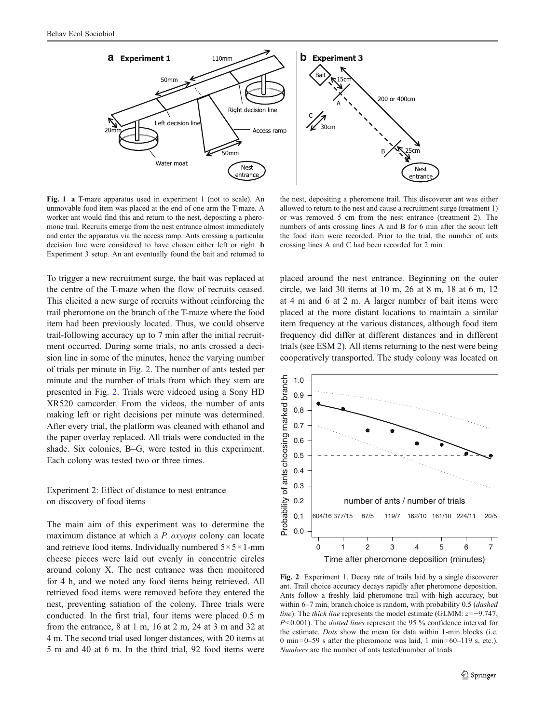<span id="page-2-0"></span>

Fig. 1 a T-maze apparatus used in experiment 1 (not to scale). An unmovable food item was placed at the end of one arm the T-maze. A worker ant would find this and return to the nest, depositing a pheromone trail. Recruits emerge from the nest entrance almost immediately and enter the apparatus via the access ramp. Ants crossing a particular decision line were considered to have chosen either left or right. b Experiment 3 setup. An ant eventually found the bait and returned to

the nest, depositing a pheromone trail. This discoverer ant was either allowed to return to the nest and cause a recruitment surge (treatment 1) or was removed 5 cm from the nest entrance (treatment 2). The numbers of ants crossing lines A and B for 6 min after the scout left the food item were recorded. Prior to the trial, the number of ants crossing lines A and C had been recorded for 2 min

To trigger a new recruitment surge, the bait was replaced at the centre of the T-maze when the flow of recruits ceased. This elicited a new surge of recruits without reinforcing the trail pheromone on the branch of the T-maze where the food item had been previously located. Thus, we could observe trail-following accuracy up to 7 min after the initial recruitment occurred. During some trials, no ants crossed a decision line in some of the minutes, hence the varying number of trials per minute in Fig. 2. The number of ants tested per minute and the number of trials from which they stem are presented in Fig. 2. Trials were videoed using a Sony HD XR520 camcorder. From the videos, the number of ants making left or right decisions per minute was determined. After every trial, the platform was cleaned with ethanol and the paper overlay replaced. All trials were conducted in the shade. Six colonies, B–G, were tested in this experiment. Each colony was tested two or three times.

Experiment 2: Effect of distance to nest entrance on discovery of food items

The main aim of this experiment was to determine the maximum distance at which a P. oxyops colony can locate and retrieve food items. Individually numbered  $5 \times 5 \times 1$ -mm cheese pieces were laid out evenly in concentric circles around colony X. The nest entrance was then monitored for 4 h, and we noted any food items being retrieved. All retrieved food items were removed before they entered the nest, preventing satiation of the colony. Three trials were conducted. In the first trial, four items were placed 0.5 m from the entrance, 8 at 1 m, 16 at 2 m, 24 at 3 m and 32 at 4 m. The second trial used longer distances, with 20 items at 5 m and 40 at 6 m. In the third trial, 92 food items were placed around the nest entrance. Beginning on the outer circle, we laid 30 items at 10 m, 26 at 8 m, 18 at 6 m, 12 at 4 m and 6 at 2 m. A larger number of bait items were placed at the more distant locations to maintain a similar item frequency at the various distances, although food item frequency did differ at different distances and in different trials (see ESM 2). All items returning to the nest were being cooperatively transported. The study colony was located on



Fig. 2 Experiment 1. Decay rate of trails laid by a single discoverer ant. Trail choice accuracy decays rapidly after pheromone deposition. Ants follow a freshly laid pheromone trail with high accuracy, but within 6–7 min, branch choice is random, with probability 0.5 (dashed line). The thick line represents the model estimate (GLMM:  $z=-9.747$ , P<0.001). The *dotted lines* represent the 95 % confidence interval for the estimate. Dots show the mean for data within 1-min blocks (i.e. 0 min=0–59 s after the pheromone was laid, 1 min=60–119 s, etc.). Numbers are the number of ants tested/number of trials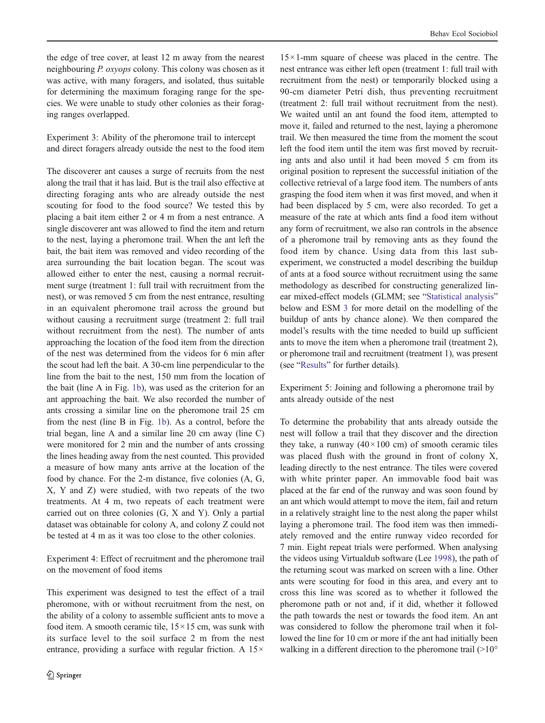the edge of tree cover, at least 12 m away from the nearest neighbouring P. oxyops colony. This colony was chosen as it was active, with many foragers, and isolated, thus suitable for determining the maximum foraging range for the species. We were unable to study other colonies as their foraging ranges overlapped.

Experiment 3: Ability of the pheromone trail to intercept and direct foragers already outside the nest to the food item

The discoverer ant causes a surge of recruits from the nest along the trail that it has laid. But is the trail also effective at directing foraging ants who are already outside the nest scouting for food to the food source? We tested this by placing a bait item either 2 or 4 m from a nest entrance. A single discoverer ant was allowed to find the item and return to the nest, laying a pheromone trail. When the ant left the bait, the bait item was removed and video recording of the area surrounding the bait location began. The scout was allowed either to enter the nest, causing a normal recruitment surge (treatment 1: full trail with recruitment from the nest), or was removed 5 cm from the nest entrance, resulting in an equivalent pheromone trail across the ground but without causing a recruitment surge (treatment 2: full trail without recruitment from the nest). The number of ants approaching the location of the food item from the direction of the nest was determined from the videos for 6 min after the scout had left the bait. A 30-cm line perpendicular to the line from the bait to the nest, 150 mm from the location of the bait (line A in Fig. [1b](#page-2-0)), was used as the criterion for an ant approaching the bait. We also recorded the number of ants crossing a similar line on the pheromone trail 25 cm from the nest (line B in Fig. [1b\)](#page-2-0). As a control, before the trial began, line A and a similar line 20 cm away (line C) were monitored for 2 min and the number of ants crossing the lines heading away from the nest counted. This provided a measure of how many ants arrive at the location of the food by chance. For the 2-m distance, five colonies (A, G, X, Y and Z) were studied, with two repeats of the two treatments. At 4 m, two repeats of each treatment were carried out on three colonies (G, X and Y). Only a partial dataset was obtainable for colony A, and colony Z could not be tested at 4 m as it was too close to the other colonies.

Experiment 4: Effect of recruitment and the pheromone trail on the movement of food items

This experiment was designed to test the effect of a trail pheromone, with or without recruitment from the nest, on the ability of a colony to assemble sufficient ants to move a food item. A smooth ceramic tile,  $15 \times 15$  cm, was sunk with its surface level to the soil surface 2 m from the nest entrance, providing a surface with regular friction. A  $15\times$ 

 $15 \times 1$ -mm square of cheese was placed in the centre. The nest entrance was either left open (treatment 1: full trail with recruitment from the nest) or temporarily blocked using a 90-cm diameter Petri dish, thus preventing recruitment (treatment 2: full trail without recruitment from the nest). We waited until an ant found the food item, attempted to move it, failed and returned to the nest, laying a pheromone trail. We then measured the time from the moment the scout left the food item until the item was first moved by recruiting ants and also until it had been moved 5 cm from its original position to represent the successful initiation of the collective retrieval of a large food item. The numbers of ants grasping the food item when it was first moved, and when it had been displaced by 5 cm, were also recorded. To get a measure of the rate at which ants find a food item without any form of recruitment, we also ran controls in the absence of a pheromone trail by removing ants as they found the food item by chance. Using data from this last subexperiment, we constructed a model describing the buildup of ants at a food source without recruitment using the same methodology as described for constructing generalized linear mixed-effect models (GLMM; see "[Statistical analysis](#page-4-0)" below and ESM 3 for more detail on the modelling of the buildup of ants by chance alone). We then compared the model's results with the time needed to build up sufficient ants to move the item when a pheromone trail (treatment 2), or pheromone trail and recruitment (treatment 1), was present (see "[Results](#page-4-0)" for further details).

Experiment 5: Joining and following a pheromone trail by ants already outside of the nest

To determine the probability that ants already outside the nest will follow a trail that they discover and the direction they take, a runway  $(40 \times 100)$  cm) of smooth ceramic tiles was placed flush with the ground in front of colony X, leading directly to the nest entrance. The tiles were covered with white printer paper. An immovable food bait was placed at the far end of the runway and was soon found by an ant which would attempt to move the item, fail and return in a relatively straight line to the nest along the paper whilst laying a pheromone trail. The food item was then immediately removed and the entire runway video recorded for 7 min. Eight repeat trials were performed. When analysing the videos using Virtualdub software (Lee [1998](#page-7-0)), the path of the returning scout was marked on screen with a line. Other ants were scouting for food in this area, and every ant to cross this line was scored as to whether it followed the pheromone path or not and, if it did, whether it followed the path towards the nest or towards the food item. An ant was considered to follow the pheromone trail when it followed the line for 10 cm or more if the ant had initially been walking in a different direction to the pheromone trail  $(>10^{\circ}$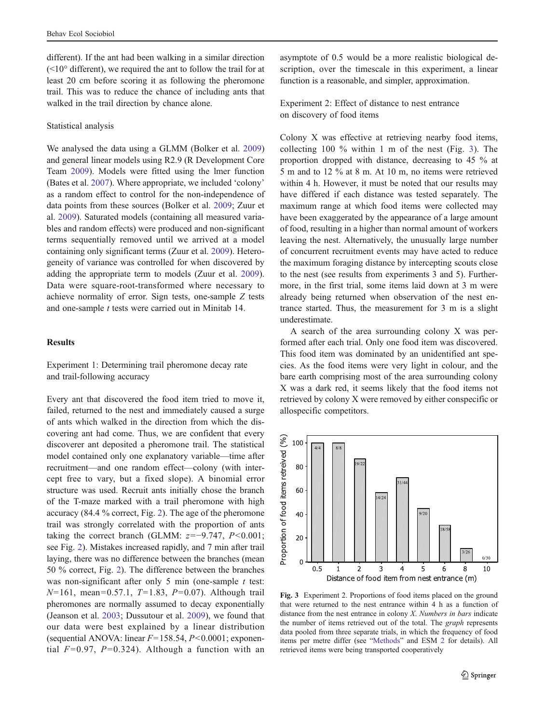<span id="page-4-0"></span>different). If the ant had been walking in a similar direction  $(<10°$  different), we required the ant to follow the trail for at least 20 cm before scoring it as following the pheromone trail. This was to reduce the chance of including ants that walked in the trail direction by chance alone.

### Statistical analysis

We analysed the data using a GLMM (Bolker et al. [2009\)](#page-7-0) and general linear models using R2.9 (R Development Core Team [2009](#page-7-0)). Models were fitted using the lmer function (Bates et al. [2007](#page-7-0)). Where appropriate, we included 'colony' as a random effect to control for the non-independence of data points from these sources (Bolker et al. [2009;](#page-7-0) Zuur et al. [2009\)](#page-7-0). Saturated models (containing all measured variables and random effects) were produced and non-significant terms sequentially removed until we arrived at a model containing only significant terms (Zuur et al. [2009\)](#page-7-0). Heterogeneity of variance was controlled for when discovered by adding the appropriate term to models (Zuur et al. [2009](#page-7-0)). Data were square-root-transformed where necessary to achieve normality of error. Sign tests, one-sample Z tests and one-sample t tests were carried out in Minitab 14.

#### Results

Experiment 1: Determining trail pheromone decay rate and trail-following accuracy

Every ant that discovered the food item tried to move it, failed, returned to the nest and immediately caused a surge of ants which walked in the direction from which the discovering ant had come. Thus, we are confident that every discoverer ant deposited a pheromone trail. The statistical model contained only one explanatory variable—time after recruitment—and one random effect—colony (with intercept free to vary, but a fixed slope). A binomial error structure was used. Recruit ants initially chose the branch of the T-maze marked with a trail pheromone with high accuracy (84.4 % correct, Fig. [2](#page-2-0)). The age of the pheromone trail was strongly correlated with the proportion of ants taking the correct branch (GLMM:  $z=-9.747$ ,  $P<0.001$ ; see Fig. [2\)](#page-2-0). Mistakes increased rapidly, and 7 min after trail laying, there was no difference between the branches (mean 50 % correct, Fig. [2](#page-2-0)). The difference between the branches was non-significant after only  $5$  min (one-sample  $t$  test:  $N=161$ , mean=0.57.1, T=1.83, P=0.07). Although trail pheromones are normally assumed to decay exponentially (Jeanson et al. [2003;](#page-7-0) Dussutour et al. [2009](#page-7-0)), we found that our data were best explained by a linear distribution (sequential ANOVA: linear  $F=158.54$ ,  $P<0.0001$ ; exponential  $F=0.97$ ,  $P=0.324$ ). Although a function with an asymptote of 0.5 would be a more realistic biological description, over the timescale in this experiment, a linear function is a reasonable, and simpler, approximation.

Experiment 2: Effect of distance to nest entrance on discovery of food items

Colony X was effective at retrieving nearby food items, collecting 100 % within 1 m of the nest (Fig. 3). The proportion dropped with distance, decreasing to 45 % at 5 m and to 12 % at 8 m. At 10 m, no items were retrieved within 4 h. However, it must be noted that our results may have differed if each distance was tested separately. The maximum range at which food items were collected may have been exaggerated by the appearance of a large amount of food, resulting in a higher than normal amount of workers leaving the nest. Alternatively, the unusually large number of concurrent recruitment events may have acted to reduce the maximum foraging distance by intercepting scouts close to the nest (see results from experiments 3 and 5). Furthermore, in the first trial, some items laid down at 3 m were already being returned when observation of the nest entrance started. Thus, the measurement for 3 m is a slight underestimate.

A search of the area surrounding colony X was performed after each trial. Only one food item was discovered. This food item was dominated by an unidentified ant species. As the food items were very light in colour, and the bare earth comprising most of the area surrounding colony X was a dark red, it seems likely that the food items not retrieved by colony X were removed by either conspecific or allospecific competitors.



Fig. 3 Experiment 2. Proportions of food items placed on the ground that were returned to the nest entrance within 4 h as a function of distance from the nest entrance in colony  $X$ . Numbers in bars indicate the number of items retrieved out of the total. The graph represents data pooled from three separate trials, in which the frequency of food items per metre differ (see "[Methods](#page-1-0)" and ESM 2 for details). All retrieved items were being transported cooperatively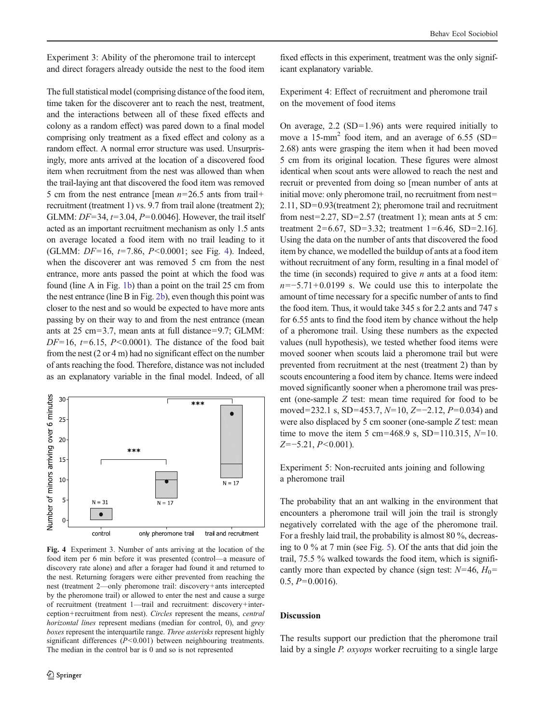<span id="page-5-0"></span>Experiment 3: Ability of the pheromone trail to intercept and direct foragers already outside the nest to the food item

The full statistical model (comprising distance of the food item, time taken for the discoverer ant to reach the nest, treatment, and the interactions between all of these fixed effects and colony as a random effect) was pared down to a final model comprising only treatment as a fixed effect and colony as a random effect. A normal error structure was used. Unsurprisingly, more ants arrived at the location of a discovered food item when recruitment from the nest was allowed than when the trail-laying ant that discovered the food item was removed 5 cm from the nest entrance [mean  $n=26.5$  ants from trail+ recruitment (treatment 1) vs. 9.7 from trail alone (treatment 2); GLMM:  $DF=34$ ,  $t=3.04$ ,  $P=0.0046$ ]. However, the trail itself acted as an important recruitment mechanism as only 1.5 ants on average located a food item with no trail leading to it (GLMM:  $DF=16$ ,  $t=7.86$ ,  $P<0.0001$ ; see Fig. 4). Indeed, when the discoverer ant was removed 5 cm from the nest entrance, more ants passed the point at which the food was found (line A in Fig. [1b\)](#page-2-0) than a point on the trail 25 cm from the nest entrance (line B in Fig. [2b](#page-2-0)), even though this point was closer to the nest and so would be expected to have more ants passing by on their way to and from the nest entrance (mean ants at  $25 \text{ cm} = 3.7$ , mean ants at full distance=9.7; GLMM:  $DF=16$ ,  $t=6.15$ ,  $P<0.0001$ ). The distance of the food bait from the nest (2 or 4 m) had no significant effect on the number of ants reaching the food. Therefore, distance was not included as an explanatory variable in the final model. Indeed, of all



Fig. 4 Experiment 3. Number of ants arriving at the location of the food item per 6 min before it was presented (control—a measure of discovery rate alone) and after a forager had found it and returned to the nest. Returning foragers were either prevented from reaching the nest (treatment 2—only pheromone trail: discovery+ants intercepted by the pheromone trail) or allowed to enter the nest and cause a surge of recruitment (treatment 1—trail and recruitment: discovery+interception+ recruitment from nest). Circles represent the means, central horizontal lines represent medians (median for control, 0), and grey boxes represent the interquartile range. Three asterisks represent highly significant differences  $(P<0.001)$  between neighbouring treatments. The median in the control bar is 0 and so is not represented

fixed effects in this experiment, treatment was the only significant explanatory variable.

Experiment 4: Effect of recruitment and pheromone trail on the movement of food items

On average,  $2.2$  (SD=1.96) ants were required initially to move a  $15$ -mm<sup>2</sup> food item, and an average of 6.55 (SD= 2.68) ants were grasping the item when it had been moved 5 cm from its original location. These figures were almost identical when scout ants were allowed to reach the nest and recruit or prevented from doing so [mean number of ants at initial move: only pheromone trail, no recruitment from nest=  $2.11$ , SD=0.93(treatment 2); pheromone trail and recruitment from nest=2.27,  $SD=2.57$  (treatment 1); mean ants at 5 cm: treatment  $2=6.67$ , SD=3.32; treatment  $1=6.46$ , SD=2.16]. Using the data on the number of ants that discovered the food item by chance, we modelled the buildup of ants at a food item without recruitment of any form, resulting in a final model of the time (in seconds) required to give  $n$  ants at a food item:  $n=-5.71+0.0199$  s. We could use this to interpolate the amount of time necessary for a specific number of ants to find the food item. Thus, it would take 345 s for 2.2 ants and 747 s for 6.55 ants to find the food item by chance without the help of a pheromone trail. Using these numbers as the expected values (null hypothesis), we tested whether food items were moved sooner when scouts laid a pheromone trail but were prevented from recruitment at the nest (treatment 2) than by scouts encountering a food item by chance. Items were indeed moved significantly sooner when a pheromone trail was present (one-sample Z test: mean time required for food to be moved=232.1 s, SD=453.7,  $N=10$ , Z=−2.12, P=0.034) and were also displaced by 5 cm sooner (one-sample Z test: mean time to move the item 5 cm=468.9 s, SD=110.315,  $N=10$ .  $Z=-5.21, P<0.001$ ).

Experiment 5: Non-recruited ants joining and following a pheromone trail

The probability that an ant walking in the environment that encounters a pheromone trail will join the trail is strongly negatively correlated with the age of the pheromone trail. For a freshly laid trail, the probability is almost 80 %, decreasing to 0 % at 7 min (see Fig. [5](#page-6-0)). Of the ants that did join the trail, 75.5 % walked towards the food item, which is significantly more than expected by chance (sign test:  $N=46$ ,  $H_0=$  $0.5, P=0.0016$ .

## Discussion

The results support our prediction that the pheromone trail laid by a single P. oxyops worker recruiting to a single large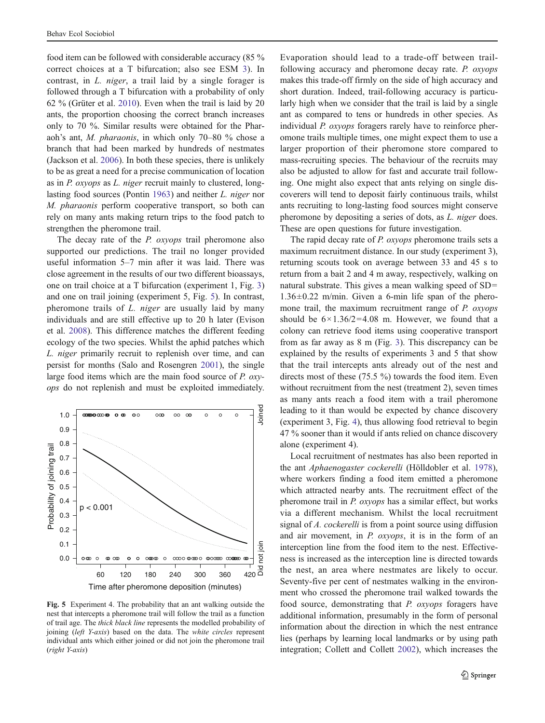<span id="page-6-0"></span>food item can be followed with considerable accuracy (85 % correct choices at a T bifurcation; also see ESM 3). In contrast, in L. niger, a trail laid by a single forager is followed through a T bifurcation with a probability of only 62 % (Grüter et al. [2010](#page-7-0)). Even when the trail is laid by 20 ants, the proportion choosing the correct branch increases only to 70 %. Similar results were obtained for the Pharaoh's ant, M. pharaonis, in which only 70–80 % chose a branch that had been marked by hundreds of nestmates (Jackson et al. [2006\)](#page-7-0). In both these species, there is unlikely to be as great a need for a precise communication of location as in P. oxyops as L. niger recruit mainly to clustered, longlasting food sources (Pontin [1963\)](#page-7-0) and neither L. niger nor M. pharaonis perform cooperative transport, so both can rely on many ants making return trips to the food patch to strengthen the pheromone trail.

The decay rate of the *P. oxyops* trail pheromone also supported our predictions. The trail no longer provided useful information 5–7 min after it was laid. There was close agreement in the results of our two different bioassays, one on trail choice at a T bifurcation (experiment 1, Fig. [3\)](#page-4-0) and one on trail joining (experiment 5, Fig. 5). In contrast, pheromone trails of L. niger are usually laid by many individuals and are still effective up to 20 h later (Evison et al. [2008](#page-7-0)). This difference matches the different feeding ecology of the two species. Whilst the aphid patches which L. niger primarily recruit to replenish over time, and can persist for months (Salo and Rosengren [2001\)](#page-7-0), the single large food items which are the main food source of P. oxyops do not replenish and must be exploited immediately.



Fig. 5 Experiment 4. The probability that an ant walking outside the nest that intercepts a pheromone trail will follow the trail as a function of trail age. The thick black line represents the modelled probability of joining (left Y-axis) based on the data. The white circles represent individual ants which either joined or did not join the pheromone trail (right Y-axis)

Evaporation should lead to a trade-off between trailfollowing accuracy and pheromone decay rate. P. oxyops makes this trade-off firmly on the side of high accuracy and short duration. Indeed, trail-following accuracy is particularly high when we consider that the trail is laid by a single ant as compared to tens or hundreds in other species. As individual P. oxyops foragers rarely have to reinforce pheromone trails multiple times, one might expect them to use a larger proportion of their pheromone store compared to mass-recruiting species. The behaviour of the recruits may also be adjusted to allow for fast and accurate trail following. One might also expect that ants relying on single discoverers will tend to deposit fairly continuous trails, whilst ants recruiting to long-lasting food sources might conserve pheromone by depositing a series of dots, as L. niger does. These are open questions for future investigation.

The rapid decay rate of P. oxyops pheromone trails sets a maximum recruitment distance. In our study (experiment 3), returning scouts took on average between 33 and 45 s to return from a bait 2 and 4 m away, respectively, walking on natural substrate. This gives a mean walking speed of  $SD =$  $1.36\pm0.22$  m/min. Given a 6-min life span of the pheromone trail, the maximum recruitment range of P. oxyops should be  $6 \times 1.36/2 = 4.08$  m. However, we found that a colony can retrieve food items using cooperative transport from as far away as 8 m (Fig. [3](#page-4-0)). This discrepancy can be explained by the results of experiments 3 and 5 that show that the trail intercepts ants already out of the nest and directs most of these (75.5 %) towards the food item. Even without recruitment from the nest (treatment 2), seven times as many ants reach a food item with a trail pheromone leading to it than would be expected by chance discovery (experiment 3, Fig. [4](#page-5-0)), thus allowing food retrieval to begin 47 % sooner than it would if ants relied on chance discovery alone (experiment 4).

Local recruitment of nestmates has also been reported in the ant Aphaenogaster cockerelli (Hölldobler et al. [1978\)](#page-7-0), where workers finding a food item emitted a pheromone which attracted nearby ants. The recruitment effect of the pheromone trail in P. oxyops has a similar effect, but works via a different mechanism. Whilst the local recruitment signal of A. cockerelli is from a point source using diffusion and air movement, in P. oxyops, it is in the form of an interception line from the food item to the nest. Effectiveness is increased as the interception line is directed towards the nest, an area where nestmates are likely to occur. Seventy-five per cent of nestmates walking in the environment who crossed the pheromone trail walked towards the food source, demonstrating that P. oxyops foragers have additional information, presumably in the form of personal information about the direction in which the nest entrance lies (perhaps by learning local landmarks or by using path integration; Collett and Collett [2002\)](#page-7-0), which increases the